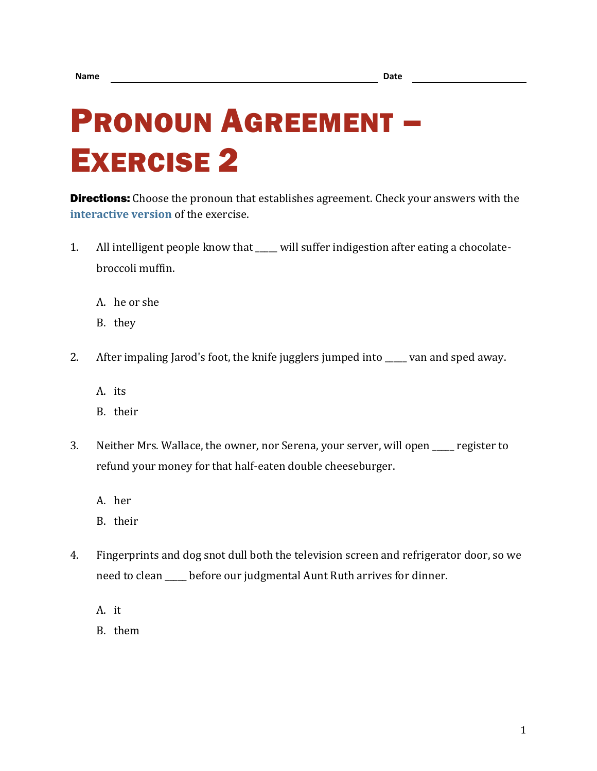## PRONOUN AGREEMENT – EXERCISE 2

**Directions:** Choose the pronoun that establishes agreement. Check your answers with the **[interactive version](https://chompchomp.com/hotpotatoes/proagree02.htm)** of the exercise.

- 1. All intelligent people know that \_\_\_\_ will suffer indigestion after eating a chocolatebroccoli muffin.
	- A. he or she
	- B. they
- 2. After impaling Jarod's foot, the knife jugglers jumped into wan and sped away.
	- A. its
	- B. their
- 3. Neither Mrs. Wallace, the owner, nor Serena, your server, will open register to refund your money for that half-eaten double cheeseburger.
	- A. her
	- B. their
- 4. Fingerprints and dog snot dull both the television screen and refrigerator door, so we need to clean \_\_\_\_\_ before our judgmental Aunt Ruth arrives for dinner.
	- A. it
	- B. them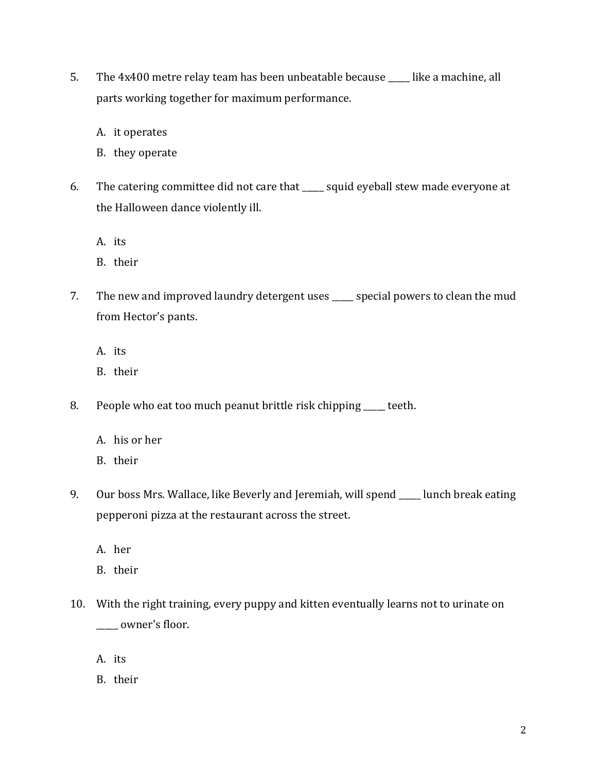- 5. The 4x400 metre relay team has been unbeatable because \_\_\_\_\_ like a machine, all parts working together for maximum performance.
	- A. it operates
	- B. they operate
- 6. The catering committee did not care that \_\_\_\_\_ squid eyeball stew made everyone at the Halloween dance violently ill.
	- A. its
	- B. their
- 7. The new and improved laundry detergent uses \_\_\_\_\_ special powers to clean the mud from Hector's pants.
	- A. its
	- B. their
- 8. People who eat too much peanut brittle risk chipping \_\_\_\_\_ teeth.
	- A. his or her
	- B. their
- 9. Our boss Mrs. Wallace, like Beverly and Jeremiah, will spend \_\_\_\_ lunch break eating pepperoni pizza at the restaurant across the street.
	- A. her
	- B. their
- 10. With the right training, every puppy and kitten eventually learns not to urinate on \_\_\_\_\_ owner's floor.
	- A. its
	- B. their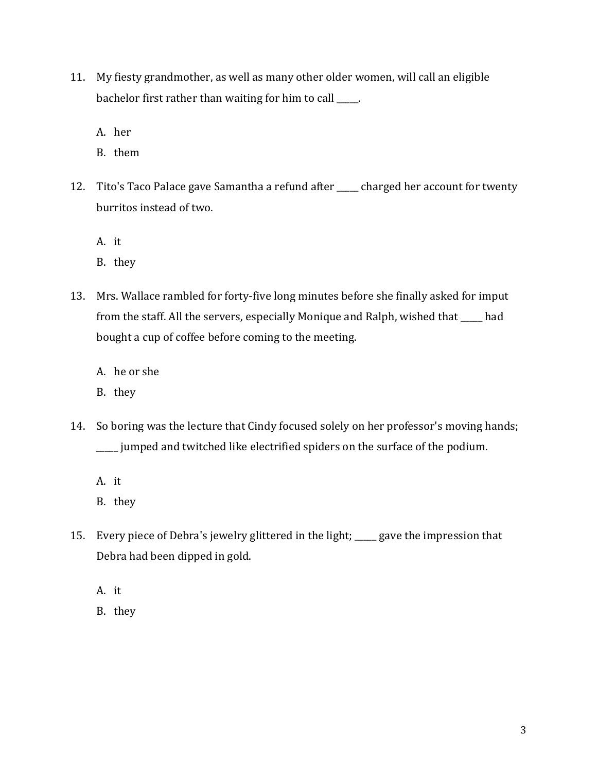- 11. My fiesty grandmother, as well as many other older women, will call an eligible bachelor first rather than waiting for him to call \_\_\_\_\_.
	- A. her
	- B. them
- 12. Tito's Taco Palace gave Samantha a refund after \_\_\_\_ charged her account for twenty burritos instead of two.
	- A. it
	- B. they
- 13. Mrs. Wallace rambled for forty-five long minutes before she finally asked for imput from the staff. All the servers, especially Monique and Ralph, wished that \_\_\_\_\_ had bought a cup of coffee before coming to the meeting.
	- A. he or she
	- B. they
- 14. So boring was the lecture that Cindy focused solely on her professor's moving hands; \_\_\_\_\_ jumped and twitched like electrified spiders on the surface of the podium.
	- A. it
	- B. they
- 15. Every piece of Debra's jewelry glittered in the light; \_\_\_\_\_ gave the impression that Debra had been dipped in gold.
	- A. it
	- B. they